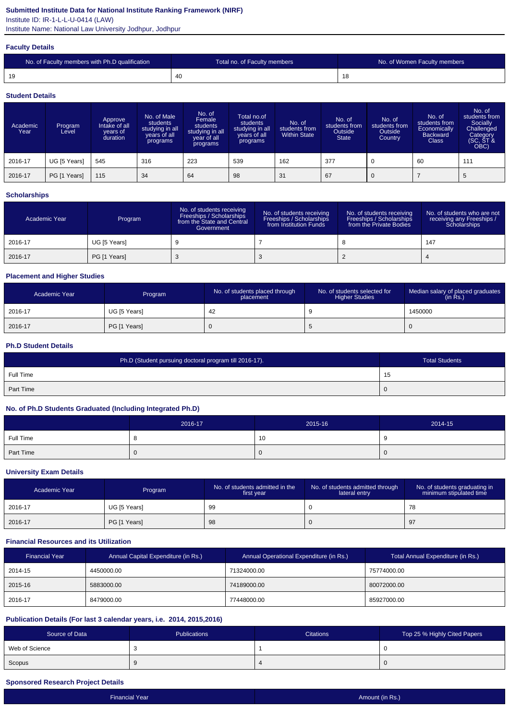# **Submitted Institute Data for National Institute Ranking Framework (NIRF)**

Institute ID: IR-1-L-L-U-0414 (LAW)

Institute Name: National Law University Jodhpur, Jodhpur

#### **Faculty Details**

| No. of Faculty members with Ph.D qualification | Total no. of Faculty members | No. of Women Faculty members |
|------------------------------------------------|------------------------------|------------------------------|
| 19                                             | -40                          | -18                          |

#### **Student Details**

| Academic<br>Year | Program<br>Level | Approve<br>Intake of all<br>vears of<br>duration | No. of Male<br>students<br>studying in all<br>vears of all<br>programs | No. of<br>Female<br>students<br>studying in all<br>year of all<br>programs | Total no.of<br>students<br>studying in all<br>years of all<br>programs | No. of<br>students from<br><b>Within State</b> | No. of<br>students from<br><b>Outside</b><br><b>State</b> | No. of<br>students from<br>Outside<br>Country | No. of<br>students from<br><b>Economically</b><br><b>Backward</b><br><b>Class</b> | No. of<br>students from<br>Socially<br>Challenged<br>Category<br>(SC, ST &<br>OBC) |
|------------------|------------------|--------------------------------------------------|------------------------------------------------------------------------|----------------------------------------------------------------------------|------------------------------------------------------------------------|------------------------------------------------|-----------------------------------------------------------|-----------------------------------------------|-----------------------------------------------------------------------------------|------------------------------------------------------------------------------------|
| 2016-17          | UG [5 Years]     | 545                                              | 316                                                                    | 223                                                                        | 539                                                                    | 162                                            | 377                                                       |                                               | 60                                                                                | 111                                                                                |
| 2016-17          | PG [1 Years]     | 115                                              | 34                                                                     | 64                                                                         | 98                                                                     | 31                                             | 67                                                        |                                               |                                                                                   | 5                                                                                  |

### **Scholarships**

| Academic Year | Program      | No. of students receiving<br>Freeships / Scholarships<br>from the State and Central<br>Government | No. of students receiving<br>Freeships / Scholarships<br>from Institution Funds | No. of students receiving<br>Freeships / Scholarships<br>from the Private Bodies | No. of students who are not<br>receiving any Freeships /<br>Scholarships |
|---------------|--------------|---------------------------------------------------------------------------------------------------|---------------------------------------------------------------------------------|----------------------------------------------------------------------------------|--------------------------------------------------------------------------|
| 2016-17       | UG [5 Years] |                                                                                                   |                                                                                 |                                                                                  | 147                                                                      |
| 2016-17       | PG [1 Years] |                                                                                                   |                                                                                 |                                                                                  |                                                                          |

## **Placement and Higher Studies**

| Academic Year | Program      | No. of students placed through<br>placement | No. of students selected for<br><b>Higher Studies</b> | Median salary of placed graduates<br>(in Rs.) |
|---------------|--------------|---------------------------------------------|-------------------------------------------------------|-----------------------------------------------|
| 2016-17       | UG [5 Years] | -42                                         |                                                       | 1450000                                       |
| 2016-17       | PG [1 Years] | -C                                          | ູບ                                                    | <b>U</b>                                      |

## **Ph.D Student Details**

| Ph.D (Student pursuing doctoral program till 2016-17). | <b>Total Students</b> |
|--------------------------------------------------------|-----------------------|
| Full Time                                              | -15                   |
| <b>Part Time</b>                                       | -0                    |

### **No. of Ph.D Students Graduated (Including Integrated Ph.D)**

|           | 2016-17 | 2015-16 | 2014-15 |
|-----------|---------|---------|---------|
| Full Time |         | 10      | u<br>್  |
| Part Time | .       |         | v       |

#### **University Exam Details**

| Academic Year | Program      | No. of students admitted in the<br>first year | No. of students admitted through<br>lateral entry | No. of students graduating in<br>minimum stipulated time |
|---------------|--------------|-----------------------------------------------|---------------------------------------------------|----------------------------------------------------------|
| 2016-17       | UG [5 Years] | -99                                           |                                                   | 78                                                       |
| 2016-17       | PG [1 Years] | -98                                           |                                                   | 97                                                       |

## **Financial Resources and its Utilization**

| <b>Financial Year</b> | Annual Capital Expenditure (in Rs.) | Annual Operational Expenditure (in Rs.) | Total Annual Expenditure (in Rs.) |
|-----------------------|-------------------------------------|-----------------------------------------|-----------------------------------|
| 2014-15               | 4450000.00                          | 71324000.00                             | 75774000.00                       |
| 2015-16               | 5883000.00                          | 74189000.00                             | 80072000.00                       |
| 2016-17               | 8479000.00                          | 77448000.00                             | 85927000.00                       |

### **Publication Details (For last 3 calendar years, i.e. 2014, 2015,2016)**

| Source of Data | <b>Publications</b> | <b>Citations</b> | Top 25 % Highly Cited Papers |
|----------------|---------------------|------------------|------------------------------|
| Web of Science |                     |                  |                              |
| Scopus         |                     |                  |                              |

### **Sponsored Research Project Details**

| <b>Financial Year</b> | Amount (in Rs.) |
|-----------------------|-----------------|
|                       |                 |